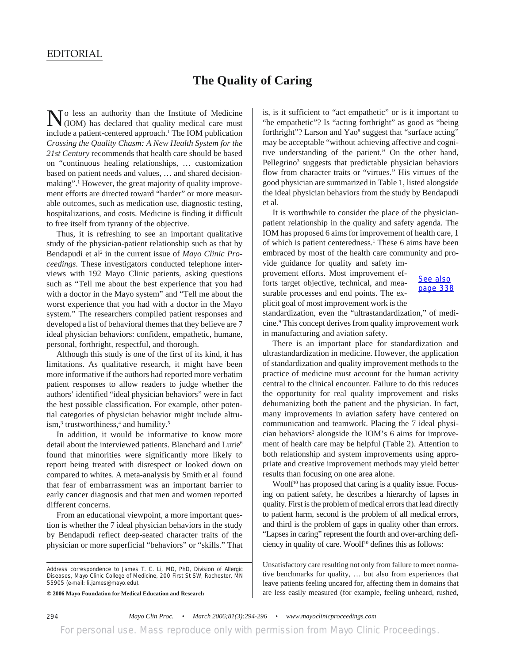## EDITORIAL

## **The Quality of Caring**

To less an authority than the Institute of Medicine (IOM) has declared that quality medical care must include a patient-centered approach.<sup>1</sup> The IOM publication *Crossing the Quality Chasm: A New Health System for the 21st Century* recommends that health care should be based on "continuous healing relationships, … customization based on patient needs and values, … and shared decisionmaking".1 However, the great majority of quality improvement efforts are directed toward "harder" or more measurable outcomes, such as medication use, diagnostic testing, hospitalizations, and costs. Medicine is finding it difficult to free itself from tyranny of the objective.

Thus, it is refreshing to see an important qualitative study of the physician-patient relationship such as that by Bendapudi et al<sup>2</sup> in the current issue of *Mayo Clinic Proceedings*. These investigators conducted telephone interviews with 192 Mayo Clinic patients, asking questions such as "Tell me about the best experience that you had with a doctor in the Mayo system" and "Tell me about the worst experience that you had with a doctor in the Mayo system." The researchers compiled patient responses and developed a list of behavioral themes that they believe are 7 ideal physician behaviors: confident, empathetic, humane, personal, forthright, respectful, and thorough.

Although this study is one of the first of its kind, it has limitations. As qualitative research, it might have been more informative if the authors had reported more verbatim patient responses to allow readers to judge whether the authors' identified "ideal physician behaviors" were in fact the best possible classification. For example, other potential categories of physician behavior might include altruism,<sup>3</sup> trustworthiness,<sup>4</sup> and humility.<sup>5</sup>

In addition, it would be informative to know more detail about the interviewed patients. Blanchard and Lurie<sup>6</sup> found that minorities were significantly more likely to report being treated with disrespect or looked down on compared to whites. A meta-analysis by Smith et al found that fear of embarrassment was an important barrier to early cancer diagnosis and that men and women reported different concerns.

From an educational viewpoint, a more important question is whether the 7 ideal physician behaviors in the study by Bendapudi reflect deep-seated character traits of the physician or more superficial "behaviors" or "skills." That

**© 2006 Mayo Foundation for Medical Education and Research**

is, is it sufficient to "act empathetic" or is it important to "be empathetic"? Is "acting forthright" as good as "being forthright"? Larson and Yao<sup>8</sup> suggest that "surface acting" may be acceptable "without achieving affective and cognitive understanding of the patient." On the other hand, Pellegrino<sup>3</sup> suggests that predictable physician behaviors flow from character traits or "virtues." His virtues of the good physician are summarized in Table 1, listed alongside the ideal physician behaviors from the study by Bendapudi et al.

It is worthwhile to consider the place of the physicianpatient relationship in the quality and safety agenda. The IOM has proposed 6 aims for improvement of health care, 1 of which is patient centeredness.1 These 6 aims have been embraced by most of the health care community and pro-

vide guidance for quality and safety improvement efforts. Most improvement efforts target objective, technical, and measurable processes and end points. The explicit goal of most improvement work is the

## See also [page 338](8103sa1.pdf)

standardization, even the "ultrastandardization," of medicine.9 This concept derives from quality improvement work in manufacturing and aviation safety.

There is an important place for standardization and ultrastandardization in medicine. However, the application of standardization and quality improvement methods to the practice of medicine must account for the human activity central to the clinical encounter. Failure to do this reduces the opportunity for real quality improvement and risks dehumanizing both the patient and the physician. In fact, many improvements in aviation safety have centered on communication and teamwork. Placing the 7 ideal physician behaviors<sup>2</sup> alongside the IOM's 6 aims for improvement of health care may be helpful (Table 2). Attention to both relationship and system improvements using appropriate and creative improvement methods may yield better results than focusing on one area alone.

Woolf<sup>10</sup> has proposed that caring is a quality issue. Focusing on patient safety, he describes a hierarchy of lapses in quality. First is the problem of medical errors that lead directly to patient harm, second is the problem of all medical errors, and third is the problem of gaps in quality other than errors. "Lapses in caring" represent the fourth and over-arching deficiency in quality of care. Woolf<sup>10</sup> defines this as follows:

Unsatisfactory care resulting not only from failure to meet normative benchmarks for quality, … but also from experiences that leave patients feeling uncared for, affecting them in domains that are less easily measured (for example, feeling unheard, rushed,

294 *Mayo Clin Proc. • March 2006;81(3):294-296 • www.mayoclinicproceedings.com*

For personal use. Mass reproduce only with permission from *Mayo Clinic Proceedings.*

Address correspondence to James T. C. Li, MD, PhD, Division of Allergic Diseases, Mayo Clinic College of Medicine, 200 First St SW, Rochester, MN 55905 (e-mail: li.james@mayo.edu).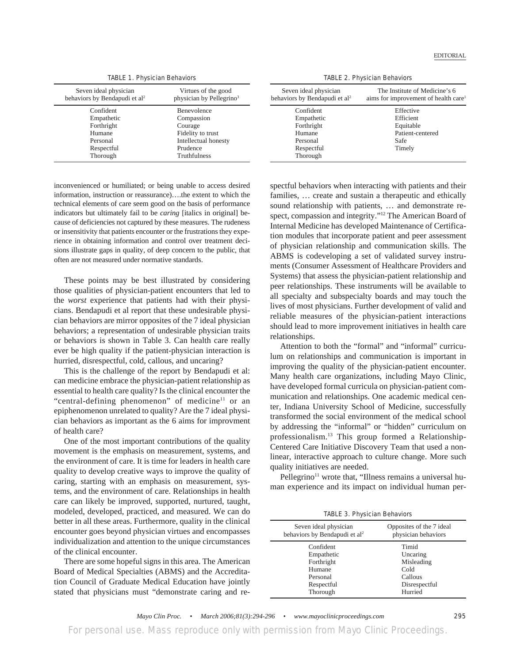EDITORIAL

TABLE 1. Physician Behaviors

| Seven ideal physician<br>behaviors by Bendapudi et al <sup>2</sup> | Virtues of the good<br>physician by Pellegrino <sup>3</sup> |
|--------------------------------------------------------------------|-------------------------------------------------------------|
| Confident                                                          | <b>Benevolence</b>                                          |
| Empathetic                                                         | Compassion                                                  |
| Forthright                                                         | Courage                                                     |
| Humane                                                             | Fidelity to trust                                           |
| Personal                                                           | Intellectual honesty                                        |
| Respectful                                                         | Prudence                                                    |
| Thorough                                                           | Truthfulness                                                |

inconvenienced or humiliated; or being unable to access desired information, instruction or reassurance)….the extent to which the technical elements of care seem good on the basis of performance indicators but ultimately fail to be *caring* [italics in original] because of deficiencies not captured by these measures. The rudeness or insensitivity that patients encounter or the frustrations they experience in obtaining information and control over treatment decisions illustrate gaps in quality, of deep concern to the public, that often are not measured under normative standards.

These points may be best illustrated by considering those qualities of physician-patient encounters that led to the *worst* experience that patients had with their physicians. Bendapudi et al report that these undesirable physician behaviors are mirror opposites of the 7 ideal physician behaviors; a representation of undesirable physician traits or behaviors is shown in Table 3. Can health care really ever be high quality if the patient-physician interaction is hurried, disrespectful, cold, callous, and uncaring?

This is the challenge of the report by Bendapudi et al: can medicine embrace the physician-patient relationship as essential to health care quality? Is the clinical encounter the "central-defining phenomenon" of medicine<sup>11</sup> or an epiphenomenon unrelated to quality? Are the 7 ideal physician behaviors as important as the 6 aims for improvment of health care?

One of the most important contributions of the quality movement is the emphasis on measurement, systems, and the environment of care. It is time for leaders in health care quality to develop creative ways to improve the quality of caring, starting with an emphasis on measurement, systems, and the environment of care. Relationships in health care can likely be improved, supported, nurtured, taught, modeled, developed, practiced, and measured. We can do better in all these areas. Furthermore, quality in the clinical encounter goes beyond physician virtues and encompasses individualization and attention to the unique circumstances of the clinical encounter.

There are some hopeful signs in this area. The American Board of Medical Specialties (ABMS) and the Accreditation Council of Graduate Medical Education have jointly stated that physicians must "demonstrate caring and re-

TABLE 2. Physician Behaviors

| Seven ideal physician<br>behaviors by Bendapudi et al <sup>2</sup> | The Institute of Medicine's 6<br>aims for improvement of health care <sup>1</sup> |
|--------------------------------------------------------------------|-----------------------------------------------------------------------------------|
| Confident                                                          | Effective                                                                         |
| Empathetic                                                         | Efficient                                                                         |
| Forthright                                                         | Equitable                                                                         |
| Humane                                                             | Patient-centered                                                                  |
| Personal                                                           | Safe                                                                              |
| Respectful<br>Thorough                                             | Timely                                                                            |

spectful behaviors when interacting with patients and their families, … create and sustain a therapeutic and ethically sound relationship with patients, … and demonstrate respect, compassion and integrity."12 The American Board of Internal Medicine has developed Maintenance of Certification modules that incorporate patient and peer assessment of physician relationship and communication skills. The ABMS is codeveloping a set of validated survey instruments (Consumer Assessment of Healthcare Providers and Systems) that assess the physician-patient relationship and peer relationships. These instruments will be available to all specialty and subspecialty boards and may touch the lives of most physicians. Further development of valid and reliable measures of the physician-patient interactions should lead to more improvement initiatives in health care relationships.

Attention to both the "formal" and "informal" curriculum on relationships and communication is important in improving the quality of the physician-patient encounter. Many health care organizations, including Mayo Clinic, have developed formal curricula on physician-patient communication and relationships. One academic medical center, Indiana University School of Medicine, successfully transformed the social environment of the medical school by addressing the "informal" or "hidden" curriculum on professionalism.13 This group formed a Relationship-Centered Care Initiative Discovery Team that used a nonlinear, interactive approach to culture change. More such quality initiatives are needed.

 $Pellegrino<sup>11</sup>$  wrote that, "Illness remains a universal human experience and its impact on individual human per-

TABLE 3. Physician Behaviors

| Seven ideal physician                     | Opposites of the 7 ideal |
|-------------------------------------------|--------------------------|
| behaviors by Bendapudi et al <sup>2</sup> | physician behaviors      |
| Confident                                 | Timid                    |
| Empathetic                                | Uncaring                 |
| Forthright                                | Misleading               |
| Humane                                    | Cold                     |
| Personal                                  | Callous                  |
| Respectful                                | Disrespectful            |
| Thorough                                  | Hurried                  |

*Mayo Clin Proc. • March 2006;81(3):294-296 • www.mayoclinicproceedings.com* 295

For personal use. Mass reproduce only with permission from *Mayo Clinic Proceedings.*